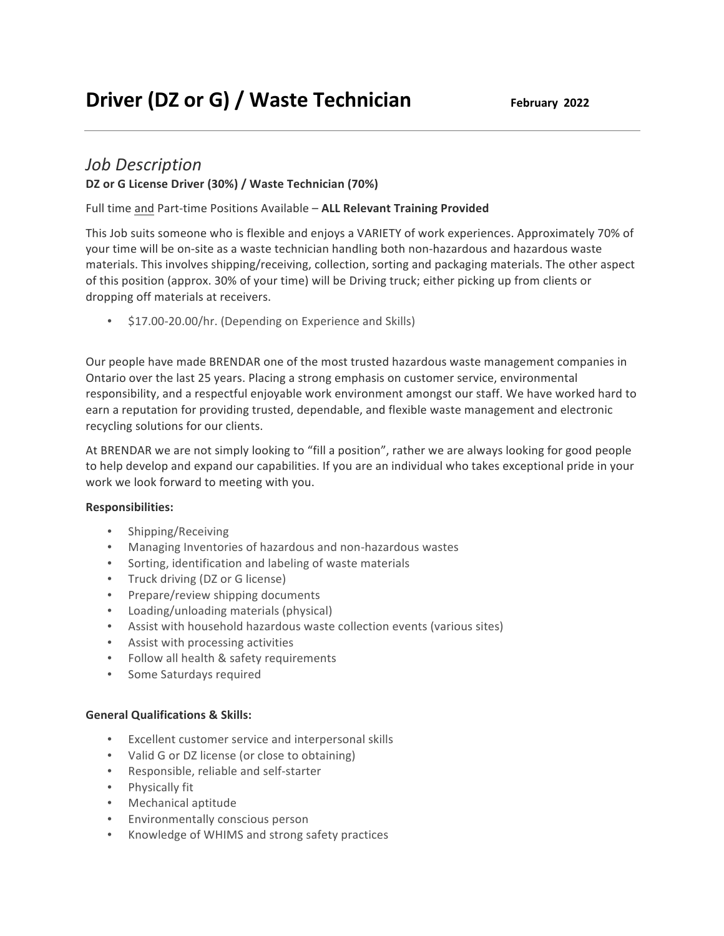## *Job Description*

## DZ or G License Driver (30%) / Waste Technician (70%)

Full time and Part-time Positions Available - ALL Relevant Training Provided

This Job suits someone who is flexible and enjoys a VARIETY of work experiences. Approximately 70% of your time will be on-site as a waste technician handling both non-hazardous and hazardous waste materials. This involves shipping/receiving, collection, sorting and packaging materials. The other aspect of this position (approx. 30% of your time) will be Driving truck; either picking up from clients or dropping off materials at receivers.

• \$17.00-20.00/hr. (Depending on Experience and Skills)

Our people have made BRENDAR one of the most trusted hazardous waste management companies in Ontario over the last 25 years. Placing a strong emphasis on customer service, environmental responsibility, and a respectful enjoyable work environment amongst our staff. We have worked hard to earn a reputation for providing trusted, dependable, and flexible waste management and electronic recycling solutions for our clients.

At BRENDAR we are not simply looking to "fill a position", rather we are always looking for good people to help develop and expand our capabilities. If you are an individual who takes exceptional pride in your work we look forward to meeting with you.

## **Responsibilities:**

- Shipping/Receiving
- Managing Inventories of hazardous and non-hazardous wastes
- Sorting, identification and labeling of waste materials
- Truck driving (DZ or G license)
- Prepare/review shipping documents
- Loading/unloading materials (physical)
- Assist with household hazardous waste collection events (various sites)
- Assist with processing activities
- Follow all health & safety requirements
- Some Saturdays required

## **General Qualifications & Skills:**

- Excellent customer service and interpersonal skills
- Valid G or DZ license (or close to obtaining)
- Responsible, reliable and self-starter
- Physically fit
- Mechanical aptitude
- Environmentally conscious person
- Knowledge of WHIMS and strong safety practices